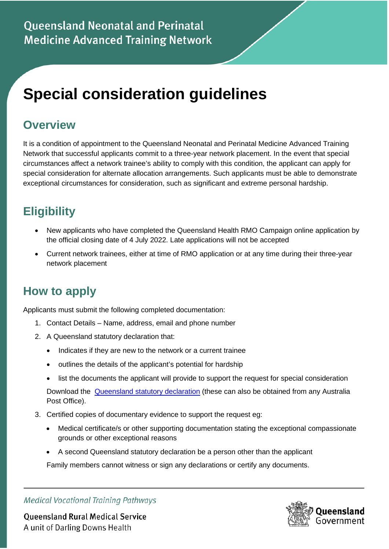# **Special consideration guidelines**

## **Overview**

It is a condition of appointment to the Queensland Neonatal and Perinatal Medicine Advanced Training Network that successful applicants commit to a three-year network placement. In the event that special circumstances affect a network trainee's ability to comply with this condition, the applicant can apply for special consideration for alternate allocation arrangements. Such applicants must be able to demonstrate exceptional circumstances for consideration, such as significant and extreme personal hardship.

## **Eligibility**

- New applicants who have completed the Queensland Health RMO Campaign online application by the official closing date of 4 July 2022. Late applications will not be accepted
- Current network trainees, either at time of RMO application or at any time during their three-year network placement

### **How to apply**

Applicants must submit the following completed documentation:

- 1. Contact Details Name, address, email and phone number
- 2. A Queensland statutory declaration that:
	- Indicates if they are new to the network or a current trainee
	- outlines the details of the applicant's potential for hardship
	- list the documents the applicant will provide to support the request for special consideration

Download the **[Queensland statutory declaration](https://www.publications.qld.gov.au/dataset/statutory-declaration)** (these can also be obtained from any Australia Post Office).

- 3. Certified copies of documentary evidence to support the request eg:
	- Medical certificate/s or other supporting documentation stating the exceptional compassionate grounds or other exceptional reasons
	- A second Queensland statutory declaration be a person other than the applicant

Family members cannot witness or sign any declarations or certify any documents.

**Medical Vocational Training Pathways** 

**Queensland Rural Medical Service** A unit of Darling Downs Health